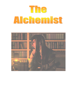## The B Alchemist

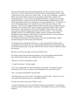There are some books that go beyond being special. *Jonathan Livingston Seagull*, *The Little Prince*, *Conversations With God* and *The Prophet* would all make the list. I'd like to add one more, *The Alchemist* by Paulo Coelho. It is the story of Santiago, a shepard in Spain. He sets off to find a treasure by the pyramids in Egypt that is spoken of in a reoccurring dream. A story as old as the pyramids themselves. Along the way, he finds out that his journey is about discovering his Personal Legend, touching the Soul of the World, and learning what love is really about; as well as getting the loot. We learn as we travel with Santiago many of the valuable lessons of life, and uncover many of the mysteries. "The wise men understood that this natural world is only an image and a copy of paradise. The existence of this world is simply a guarantee that there exists a world that is perfect. God created the world so that, through its visible objects, men could understand his spiritual teachings and the marvels of his wisdom." Now come with Santiago and me as we stroll the fields of Spain, and ride on camel and horseback through the sands of the great African desert. And, learn as he did, "I'm an adventurer, looking for treasure." The adventure awaits! Enjoy!

The Alchemist picked up a book that someone in the caravan had brought. Leafing through the pages, he found a story about Narcissus.

The alchemist knew the legend of Narcissus, a youth who knelt daily beside a lake to contemplate his own beauty. He was so fascinated by himself that, one morning, he fell into the lake and drowned. At the spot where he fell, a flower was born, which was called the narcissus.

But this was not how the author of the book ended the story.

He said that when Narcissus died, the goddesses of the forest appeared and found the lake, which had been fresh water, transformed into a lake of salty tears.

"Why do you weep?" the goddesses asked.

"I weep for Narcissus," the lake replied.

"Ah, it is no surprise that you weep for Narcissus," they said, "for though we always pursued him in the forest, you alone could contemplate his beauty close at hand."

"But...was Narcissus beautiful?" the lake asked.

"Who better than you to know that?" the goddesses said in wonder. "After all, it was by your banks that he knelt each day to contemplate himself!"

The lake was silent for some time. Finally, it said:

"I weep for Narcissus, but I never noticed that Narcissus was beautiful. I weep because, each time he knelt beside my banks, I could see, in the depths of his eyes, my own beauty reflected."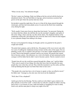"What a lovely story," the alchemist thought.

The boy's name was Santiago. Dusk was falling as the boy arrived with his herd at an abandoned church. The roof had fallen in long ago, and an enormous sycamore had grown on the spot where the sacristy had once stood.

He decided to spend the night there, He saw to it that all the sheep entered through the ruined gate, and then laid some planks across it to prevent the flock from wandering away during the night.

"Well, usually I learn more from my sheep than from books," he answered. During the two hours that they talked, she told him she was the merchant's daughter, and spoke of life in the village, where each day was like all the others, The shepherd told her of the Andalusian countryside, and related the news from the other towns where he had stopped. It was a pleasant change from talking to his sheep.

We have to be prepared for change, he thought, and he was grateful for the jacket's weight and warmth.

The jacket had a purpose, and so did the boy. His purpose in life was to travel, and, after two years of walking the Andalusian terrain, he knew all the cities of the region. He was planning, on this visit, to explain to the girl how it was that a simple shepherd knew how to read. That he had attended a seminary until he was sixteen. His parents had wanted him to become a priest...One afternoon, on a visit to his family, he had summoned up the courage to tell his father that he didn't want to become a priest. That he wanted to travel.

"People from all over the world have passed through this village, son," said his father. "They come in search of new things, but when they leave they are basically the same people they were when they arrived, They climb the mountain to see the castle, and they wind up thinking that the past was better than what we have now."

"The people who come here have a lot of money to spend, so they can afford to travel," his father said, "Amongst us, the only ones who travel are the shepherds."

"Well, then I'll be a shepherd!"

And he gave the boy his blessing, The boy could see in his father's gaze a desire to be able, himself, to travel the world—a desire that was still alive, despite his father's having had to bury it, over dozens of years, under the burden of struggling for water to drink, food to eat, and the same place to sleep every night of his life.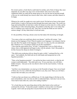He owned a jacket, a book that he could trade for another, and a flock of sheep. But, most important, he was able every day to live out his dream. If he were to tire of the Andalusian fields, he could sell his sheep and go to sea. By the time he had had enough of the sea, he would already have known other cities, other women, and other chances to be happy.

Whenever he could, he sought out a new road to travel. He had never been to that ruined church before, in spite of having traveled through those parts many times. The world was huge and inexhaustible; he had only to allow his sheep to set the route for a while, and he would discover other interesting things. The problem is that they don't even realize that they're walking a new road every day. They don't see that the fields are new and the seasons change. All they think about is food and water.

It's the possibility of having a dream come true that makes life interesting, he thought.

"You came so that you could learn about your dreams," said the old woman. "And dreams are the language of God. When he speaks in our language, I can interpret what he has said. But if he speaks in the language of the soul, it is only you who can understand. But, whichever it is, I'm going to charge you for the consultation." "I have had the same dream twice," he said. "I dreamed that I was in a field with my sheep, when a child appeared and began to play with the animals. I don't like people to do that, because the sheep are afraid of strangers..."

"The child went on playing with my sheep for quite a while," continued the boy, a bit upset. "And suddenly, the child took me by both hands and transported me to the Egyptian pyramids..."

"Then, at the Egyptian pyramids,"—he said the last three words slowly, so that the old woman would understand—"the child said to me, 'If you come here, you will find a hidden treasure,' And, just as she was about to show me the exact location, I woke up. Both times."

"And this is my interpretation: you must go to the Pyramids in Egypt. I have never heard of them, but, if it was a child who showed them to you, they exist. There you will find a treasure that will make you a rich man."

"I told you that your dream was a difficult one. It's the simple things in life that are the most extraordinary; only wise men are able to understand them. And since I am not wise, I have had to learn other arts, such as the reading of palms."

"It's a book that says the same thing almost all the other books in the world say," continued the old man. "It describes people's inability to choose their own Personal Legends. And it ends up saying that everyone believes the world's greatest lie."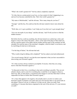"What's the world's greatest lie?" the boy asked, completely surprised.

"It's this; that at a certain point in our lives, we lose control of what's happening to us, and our lives become controlled by fate. That's the world's greatest lie."

"My name is Melchizedek," said the old man, "How many sheep do you have?"

"Enough," said the boy, He could see that the old man wanted to know more about his life.

"Well, then, we've got a problem. I can't help you if you feel you've got enough sheep."

"Give me one-tenth of your sheep," said the old man, "and I'll tell you how to find the hidden treasure."

But before the boy could say anything, the old man leaned over, picked up a stick, and began to write in the sand of the plaza...There, in the sand of the plaza of that small city, the boy read the names of his father and his mother and the name of the seminary he had attended. He read the name of the merchant's daughter, which he hadn't even known, and he read things he had never told anyone.

"I'm the king of Salem," the old man had said.

"Why would a king be talking with a shepherd?" the boy asked, awed and embarrassed.

"For several reasons, But let's say that the most important is that you have succeeded in discovering your Personal Legend."

"It's what you have always wanted to accomplish. Everyone, when they are young, knows what their Personal Legend is."

"At that point in their lives, everything is clear and everything is possible. They are not afraid to dream, and to yearn for everything they would like to see happen to them in their lives. But, as time passes, a mysterious force begins to convince them that it will be impossible for them to realize their Personal Legend..."

"It's a force that appears to be negative, but actually shows you how to realize your Personal Legend. It prepares your spirit and your will, because there is one great truth on this planet: whoever you are, or whatever it is that you do, when you really want something, it's because that desire originated in the soul of the universe. It's your mission on earth."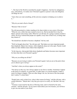"...The Soul of the World is nourished by people's happiness. And also by unhappiness, envy, and jealousy. To realize one's Personal Legend is a person's only real obligation. All things are one."

"And, when you want something, all the universe conspires in helping you to achieve it..."

"Why do you tend a flock of sheep?"

"Because I like to travel."

The old man pointed to a baker standing in his shop window at one corner of the plaza. "When he was a child, that man wanted to travel, too. But he decided first to buy his bakery and put some money aside. When he's an old man, he's going to spend a month in Africa. He never realized that people are capable, at any time in their lives, of doing what they dream of."

"He should have decided to become a shepherd," the boy said.

"Well, he thought about that," the old man said. "But bakers are more important people than shepherds. Bakers have homes, while shepherds sleep out in the open. Parents would rather see their children marry bakers than shepherds."

"In the long run, what people think about shepherds and bakers becomes more important for them than their own Personal Legends."

"Why are you telling me all this?"

"Because you are trying to realize your Personal Legend. And you are at the point where you're about to give it all up."

"And that's when you always appear on the scene?"

"Not always in this way, but I always appear in one form or another. Sometimes I appear in the form of a solution, or a good idea. At other times, at a crucial moment, I make it easier for things to happen. There are other things I do, too, but most of the time people don't realize I've done them."

"People learn, early in their lives, what is their reason for being," said the old man, with a certain bitterness. "Maybe that's why they give up on it so early, too. But that's the way it is."

"Treasure is uncovered by the force of flowing water, and it is buried by the same currents," said the old man. "If you want to learn about your own treasure, you will have to give me one-tenth of your flock,"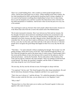There was a small building there, with a window at which people bought tickets to Africa. And he knew that Egypt was in Africa...While standing at the ticket window, the boy had remembered his flock, and decided he should go back to being a shepherd. In two years he had learned everything about shepherding: he knew how to shear sheep, how to care for pregnant ewes, and how to protect the sheep from wolves. He knew all the fields and pastures of Andalusia. And he knew what was the fair price for every one of his animals.

The wind began to pick up, He knew that wind: people called it the levanter, because on it the Moors had come from the Levant at the eastern end of the Mediterranean.

The levanter increased in intensity. Here I am, between my flock and my treasure, the boy thought. He had to choose between something he had become accustomed to and something he wanted to have. There was also the merchant's daughter, but she wasn't as important as his flock, because she didn't depend on him. Maybe she didn't even remember him. He was sure that it made no difference to her on which day he appeared: for her, every day was the same, and when each day is the same as the next, it's because people fail to recognize the good things that happen in their lives every day that the sun rises.

"That baker..." he said to himself, without completing the thought. The levanter was still getting stronger, and he felt its force on his face. That wind had brought the Moors, yes, but it had also brought the smell of the desert and of veiled women. It had brought with it the sweat and the dreams of men who had once left to search for the unknown, and for gold and adventure—and for the Pyramids. The boy felt jealous of the freedom of the wind, and saw that he could have the same freedom. There was nothing to hold him back except himself. The sheep, the merchant's daughter, and the fields of Andalusia were only steps along the way to his Personal Legend.

The next day, the boy met the old man at noon. He brought six sheep with him.

"I'm surprised," the boy said. "My friend bought all the other sheep immediately. He said that he had always dreamed of being a shepherd, and that it was a good omen."

"That's the way it always is," said the old man. "It's called the principle of favorability. When you play cards the first time, you are almost sure to win. Beginner's luck."

"Why is that?"

"Because there is a force that wants you to realize your Personal Legend; it whets your appetite with a taste of success."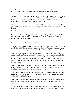"In order to find the treasure, you will have to follow the omens. God has prepared a path for everyone to follow. You just have to read the omens that he left for you."

"Take these," said the old man, holding out a white stone and a black stone that had been embedded at the center of the breastplate. "They are called Urim and Thummim. The black signifies 'yes,' and the white 'no.' When you are unable to read the omens, they will help you to do so. Always ask an objective question.

"But, if you can, try to make your own decisions. The treasure is at the Pyramids; that you already knew. But I had to insist on the payment of six sheep because I helped you to make your decision."

"Don't forget that everything you deal with is only one thing and nothing else. And don't forget the language of omens, And, above all, don't forget to follow your Personal Legend through to its conclusion."

"But before I go, I want to tell you a little story.

"A certain shopkeeper sent his son to learn about the secret of happiness from the wisest man in the world. The lad wandered through the desert for forty days, and finally came upon a beautiful castle, high atop a mountain. It was there that the wise man lived.

"Rather than finding a saintly man, though, our hero, on entering the main room of the castle, saw a hive of activity: tradesmen came and went, people were conversing in the corners, a small orchestra was playing soft music, and there was a table covered with platters of the most delicious food in that part of the world. The wise man conversed with every one, and the boy had to wait for two hours before it was his turn to be given the man's attention.

"The wise man listened attentively to the boy's explanation of why he had come, but told him that he didn't have time just then to explain the secret of happiness. He suggested that the boy look around the palace and return in two hours.

"'Meanwhile, I want to ask you to do something,' said the wise man, handing the boy a teaspoon that held two drops of oil. 'As you wander around, carry this spoon with you without allowing the oil to spill.'

"The boy began climbing and descending the many stairways of the palace, keeping his eyes fixed on the spoon. After two hours, he returned to the room where the wise man was.

"'Well,' asked the wise man, 'did you see the Persian tapestries that are hanging in my dining hall? Did you see the garden that it took the master gardener ten years to create?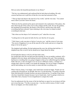Did you notice the beautiful parchments in my library?'

"The boy was embarrassed, and confessed that he had observed nothing. His only concern had been not to spill the oil that the wise man had entrusted to him.

"Then go back and observe the marvels of my world,' said the wise man. 'You cannot' trust a man if you don't know his house.'

"Relieved, the boy picked up the spoon and returned to his exploration of the palace, this time observing all of the works of art on the ceilings and the walls. He saw the gardens, the mountains all around him, the beauty of the flowers, and the taste with which everything had been selected. Upon returning to the wise man, he related in detail everything he had seen.

"'But where are the drops of oil I entrusted to you?' asked the wise man.

"Looking down at the spoon he held, the boy saw that the oil was gone.

"Well, there is only one piece of advice I can give you,' said the wisest of wise men. 'The secret of happiness is to see all the marvels of the world, and never to forget the drops of oil on the spoon.'"

The shepherd said nothing. He had understood the story the old king had told him. A shepherd may like to travel, but he should never forget about his sheep.

If God leads the sheep so well, he will also lead a man...

He recalled that when the sun had risen that morning, he was on another continent, still a shepherd with sixty sheep, and looking forward to meeting with a girl. That morning he had known everything that was going to happen to him as he walked through the familiar fields. But now, as the sun began to set, he was in a different country, a stranger in a strange land, where he couldn't even speak the language. He was no longer a shepherd, and he had nothing, not even the money to return and start everything over.

When I had my sheep, I was happy, and I made those around me happy. People saw me coming and welcomed me, he thought. But now I'm sad and alone. I'm going to become bitter and distrustful of people because one person betrayed me. I'm going to hate those who have found their treasure because I never found mine. And I'm going to hold on to what little I have, because I'm too insignificant to conquer the world.

Now he understood why the owner of the bar had been so upset; he was trying to tell him not to trust that man. "I'm like everyone else—I see the world in terms of what I would like to see happen, not what actually does."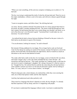"When you want something, all the universe conspires in helping you to achieve it," he had said.

The boy was trying to understand the truth of what the old man had said. There he was in the empty marketplace, without a cent to his name, and with not a sheep to guard through the night.

"Learn to recognize omens, and follow them," the old king had said.

An omen. The boy smiled to himself. He picked up the two stones and put them back in his pouch. He didn't consider mending the hole—the stones could fall through any time they wanted. He had learned that there were certain things one shouldn't ask about, so as not to flee from one's own Personal Legend. "I promised that I would make my own decisions," he said to himself.

...he realized that he had to choose between thinking of himself as the poor victim of a thief and as an adventurer in quest of his treasure.

"I'm an adventurer, looking for treasure," he said to himself.

But instead of being saddened, he was happy. He no longer had to seek out food and water for the sheep; he could go in search of his treasure, instead. He had not a cent in his pocket, but he had faith. He had decided, the night before, that he would be as much an adventurer as the ones he had admired in books.

The candy seller had a smile on his face: he was happy, aware of what his life was about, and ready to begin a day's work. His smile reminded the boy of the old man—the mysterious old king he had met. "This candy merchant isn't making candy so that later he can travel or marry a shopkeeper's daughter. He's doing it because it's what he wants to do," thought the boy. He realized that he could do the same thing the old man had done sense whether a person was near to or far from his Personal Legend. Just by looking at them. "It's easy, and yet I've never done it before," he thought.

When he had gone only a short distance, he realized that, while they were erecting the stall, one of them had spoken Arabic and the other Spanish.

And they had understood each other perfectly well.

There must be a language that doesn't depend on words, the boy thought. I've already had that experience with my sheep, and now it's happening with people.

If I can learn to understand this language without words, I can learn to understand the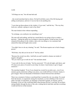world.

"All things are one," the old man had said.

...the crystal merchant had no choice. He had lived thirty years of his life buying and selling crystal pieces, and now it was too late to do anything else.

"I can clean up those glasses in the window, if you want," said the boy. "The way they look now, nobody is going to want to buy them."

The man looked at him without responding.

"In exchange, you could give me something to eat."

The man still said nothing, and the boy sensed that he was going to have to make a decision—Taking the jacket out, he began to clean the glasses. In half an hour, he had cleaned all the glasses in the window, and, as he was doing so, two customers had entered the shop and bought some crystal.

"You didn't have to do any cleaning," he said, "The Koran requires me to feed a hungry person."

"Well then, why did you let me do it?" the boy asked.

"Because the crystal was dirty. And both you and I needed to cleanse our minds of negative thoughts."

"Do you want to go to work for me?" the merchant asked.

"I can work for the rest of today," the boy answered. "I'll work all night, until dawn, and I'll clean every piece of crystal in your shop. In return, I need money to get to Egypt tomorrow."

The merchant laughed. "Even if you cleaned my crystal for an entire year...even if you earned a good commission selling every piece, you would still have to borrow money to get to Egypt. There are thousands of kilometers of desert between here and there."

There was a moment of silence so profound that it seemed the city was asleep. No sound from the bazaars, no arguments among the merchants, no men climbing to the towers to chant. No hope, no adventure, no old kings or Personal Legends, no treasure, and no Pyramids. It was as if the world had fallen silent because the boy's soul had. He sat there, staring blankly through the door of the cafe, wishing that he had died, and that everything would end forever at that moment.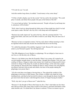"I'll work for you," he said.

And after another long silence, he added, "I need money to buy some sheep."

"I'd like to build a display case for the crystal," the boy said to the merchant. "We could place it outside, and attract those people who pass at the bottom of the hill."

"I've never had one before," the merchant answered. "People will pass by and bump into it, and pieces will be broken."

"Well, when I took my sheep through the fields some of them might have died if we had come upon a snake. But that's the way life is with sheep and with shepherds."

"Business has really improved," he said to the boy, after the customer had left. "I'm doing much better, and soon you'll be able to return to your sheep. Why ask more out of life?"

"Because we have to respond to omens," the boy said, almost without meaning to; then he regretted what he had said, because the merchant had never met the king.

"It's called the principle of favorability, beginner's luck. Because life wants you to achieve your Personal Legend," the old king had said.

"The fifth obligation of every Muslim is a pilgrimage. We are obliged, at least once in our lives, to visit the holy city of Mecca.

"Mecca is a lot farther away than the Pyramids. When I was young, all I wanted to do was put together enough money to start this shop. I thought that someday I'd be rich, and could go to Mecca. I began to make some money, but I could never bring myself to leave someone in charge of the shop; the crystals are delicate things. At the same time, people were passing my shop all the time, heading for Mecca. Some of them were rich pilgrims, traveling in caravans with servants and camels, but most of the people making the pilgrimage were poorer than I.

"All who went there were happy at having done so. They placed the symbols of the pilgrimage on the doors of their houses. One of them, a cobbler who made his living mending boots, said that he had traveled for almost a year through the desert, but that he got more tired when he had to walk through the streets of Tangier buying his leather."

"Well, why don't you go to Mecca now?" asked the boy.

"Because it's the thought of Mecca that keeps me alive. That's what helps me face these days that are all the same, these mute crystals on the shelves, and lunch and dinner at that same horrible cafe. I'm afraid that if my dream is realized, I'll have no reason to go on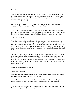living."

The boy estimated that, if he worked for six more months, he could return to Spain and buy sixty sheep, and yet another sixty. In less than a year, he would have doubled his flock, and he would be able to do business with the Arabs, because he was now able to speak their strange language.

He was proud of himself. He had learned some important things, like how to deal in crystal, and about the language without words...and about omens.

"I've had this shop for thirty years. I know good crystal from bad, and everything else there is to know about crystal, I know its dimensions and how it behaves. If we serve tea in crystal, the shop is going to expand. And then I'll have to change my way of life."

"Well, isn't that good?"

"I'm already used to the way things are. Before you came, I was thinking about how much time I had wasted in the same place, while my friends had moved on, and either went bankrupt or did better than they had before. It made me very depressed. Now, I can see that it hasn't been too bad. The shop is exactly the size I always wanted it to be. I don't want to change anything, because I don't know how to deal with change. I'm used to the way I am."

"You have been a real blessing to me. Today, I understand something I didn't see before: every blessing ignored becomes a curse. I don't want anything else in life. But you are forcing me to look at wealth and at horizons I have never known. Now that I have seen them, and now that I see how immense my possibilities are. I'm going to feel worse than I did before you arrived. Because I know the things I should be able to accomplish, and I don't want to do so."

"Maktub" the merchant said, finally.

"What does that mean?"

"You would have to have been born an Arab to understand," he answered. "But in your language it would be something like 'It is written."

And, as he smothered the coals in the hookah, he told the boy that he could begin to sell tea in the crystal glasses. Sometimes, there's just no way to hold back the river.

"I'm leaving today," said the boy. "I have the money I need to buy my sheep. And you have the money you need to go to Mecca."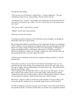The old man said nothing.

"Will you give me your blessing?" asked the boy. "You have helped me." The man continued to prepare his tea, saying nothing. Then he turned to the boy.

"I am proud of you," he said. "You brought a new feeling into my crystal shop. But you know that I'm not going to go to Mecca. Just as you know that you're not going to buy your sheep."

"Who told you that?" asked the boy, startled.

"Maktub" said the old crystal merchant.

And he gave the boy his blessing.

I'm going to go back to doing just what I did before, the boy thought. Even though the sheep didn't teach me to speak Arabic.

But the sheep had taught him something even more important: that there was a language in the world that everyone understood, a language the boy had used throughout the time that he was trying to improve things at the shop. It was the language of enthusiasm, of things accomplished with love and purpose, and as part of a search for something believed in and desired. Tangier was no longer a strange city, and he felt that, just as he had conquered this place, he could conquer the world.

"When you want something, all the universe conspires to help you achieve it," the old king had said.

From where he stood, he saw for the first time that the old merchant's hair was very much like the hair of the old king. He remembered the smile of the candy seller, on his first day in Tangier, when he had nothing to eat and nowhere to go—that smile had also been like the old king's smile.

"But I'm going back to the fields that I know, to take care of my flock again." He said that to himself with certainty, but he was no longer happy with his decision. He had worked for an entire year to make a dream come true, and that dream, minute by minute, was becoming less important. Maybe because that wasn't really his dream.

Who knows...maybe it's better to be like the crystal merchant: never go to Mecca, and just go through life wanting to do so, he thought, again trying to convince himself.

The hills of Andalusia were only two hours away, but there was an entire desert between him and the Pyramids. Yet the boy felt that there was another way to regard his situation: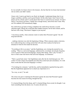he was actually two hours closer to his treasure...the fact that the two hours had stretched into an entire year didn't matter.

I know why I want to get back to my flock, he thought. I understand sheep; they're no longer a problem, and they can be good friends. On the other hand, I don't know if the desert can be a friend, and it's in the desert that I have to search for my treasure. If I don't find it, I can always go home. I finally have enough money, and all the time I need. Why not! He suddenly felt tremendously happy.

He could always go back to being a shepherd. He could always become a crystal salesman again. Maybe the world had other hidden treasures, but he had a dream, and he had met with a king. That doesn't happen to just anyone!

"I am always nearby, when someone wants to realize their Personal Legend," the old king had told him.

...making a decision was only the beginning of things. When someone makes a decision, he is really diving into a strong current that will carry him to places he had never dreamed of when he first made the decision.

"Everything in life is an omen," said the Englishman, now closing the journal he was reading. "There is a universal language, understood by everybody, but already forgotten, I am in search of that universal language, among other things. That's why I'm here. I have to find a man who knows that universal language. An alchemist."

"That's a good luck omen," the Englishman said, after the fat Arab had gone out. "If I could, I'd write a huge encyclopedia just about the words luck and coincidence. It's with those words that the universal language is written."

"I'm looking for a treasure," said the boy, and he immediately regretted having said it. But the Englishman appeared not to attach any importance to it.

"In a way, so am I," he said.

The closer one gets to realizing his Personal Legend, the more that Personal Legend becomes his true reason for being, thought the boy.

I've learned things from the sheep, and I've learned things from crystal, he thought. I can learn something from the desert, too. It seems old and wise.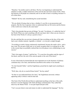"Hunches," his mother used to call them. The boy was beginning to understand that intuition is really a sudden immersion of the soul into the universal current of life, where the histories of all people are connected, and we are able to know everything, because it's all written there.

"Maktub" the boy said, remembering the crystal merchant.

"We are afraid of losing what we have, whether it's our life or our possessions and property. But this fear evaporates when we understand that our life stories and the history of the world were written by the same hand."

"That's the principle that governs all things," he said. "In alchemy, it's called the Soul of the World. When you want something with all your heart, that's when you are closest to the Soul of the World, It's always a positive force."

He also said that this was not just a human gift, that everything on the face of the earth had a soul, whether mineral, vegetable, or animal—or even just a simple thought.

"Everything on earth is being continuously transformed, because the earth is alive...and it has a soul. We are part of that soul, so we rarely recognize that it is working for us. But in the crystal shop you probably realized that even the glasses were collaborating in your success."

"That's the magic of omens," said the boy. "I've seen how the guides read the signs of the desert, and how the soul of the caravan speaks to the soul of the desert."

In one of the books he learned that the most important text in the literature of alchemy contained only a few lines, and had been inscribed on the surface of an emerald.

"It's the Emerald Tablet," said the Englishman, proud that he might teach something to the boy.

"Well, then, why do we need all these books?" the boy asked?

"So that we can understand those few lines," the Englishman answered, without appearing really to believe what he had said.

This Soul of the World allowed them to understand anything on the face of the earth, because it was the language with which all things communicated. They called that discovery the Master Work—it was part liquid and part solid.

"Can't you just observe men and omens in order to understand the language?" the boy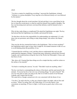asked.

"You have a mania for simplifying everything," answered the Englishman, irritated. "Alchemy is a serious discipline. Every step has to be followed exactly as it was followed by the masters."

The boy thought about the crystal merchant. He had said that it was a good thing for the boy to clean the crystal pieces, so that he could free himself from negative thoughts. The boy was becoming more and more convinced that alchemy could be learned in one's daily life.

Why do they make things so complicated? He asked the Englishman one night. The boy had noticed that the Englishman was irritable, and missed his books.

"So that those who have the responsibility for understanding can understand...It's only those who are persistent, and willing to study things deeply, who achieve the Master Work."

Then one day the boy returned the books to the Englishman, "Did you learn anything?" the Englishman asked, eager to hear what it might be. He needed someone to talk to so as to avoid thinking about the possibility of war.

"I learned that the world has a soul, and that whoever understands that soul can also understand the language of things. I learned that many alchemists realized their Personal Legends, and wound up discovering the Soul of the World, the Philosopher's Stone, and the Elixir of Life.

"But, above all, I learned that these things are all so simple that they could be written on the surface of an emerald."

"Go back to watching the caravan," he said. "That didn't teach me anything, either."

The boy went back to contemplating the silence of the desert, and the sand raised by the animals. "Everyone has his or her own way of learning things," he said to himself. "His way isn't the same as mine, nor mine as his. But we're both in search of our Personal Legends, and I respect him for that."

The camel driver, though, seemed not to be very concerned with the threat of war.

"I'm alive," he said to the boy, as they ate a bunch of dates one night, with no fires and no moon. "When I'm eating, that's all I think about. If I'm on the march, I just concentrate on marching. If I have to fight, it will be just as good a day to die as any other.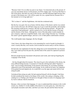"Because I don't live in either my past or my future. I'm interested only in the present. If you can concentrate always on the present, you'll be a happy man. You'll see that there is life in the desert, that there are stars in the heavens, and that tribesmen fight because they are part of the human race. Life will be a party for you, a grand festival, because life is the moment we're living right now."

"We've done it." said the Englishman, who had also awakened early.

But the boy was quiet. He was at home with the silence of the desert, and he was content just to look at the trees. He still had a long way to go to reach the pyramids, and someday this morning would just be a memory. But this was the present moment—the party the camel driver had mentioned—and he wanted to live it as he did the lessons of his past and his dreams of the future. Although the vision of the date palms would someday be just a memory, right now it signified shade, water, and a refuge from the war. Yesterday, the camel's groan signaled danger, and now a row of date palms could herald a miracle.

The world speaks many languages, the boy thought.

I don't know why these things have to be transmitted by word of mouth, he thought. It wasn't exactly that they were secrets; God revealed his secrets easily to all his creatures.

He had only one explanation for this fact; things have to be transmitted this way because they were made up from the pure life, and this kind of life cannot be captured in pictures or words.

Because people become fascinated with pictures and words, and wind up forgetting the Language of the World.

...the boy thought about his treasure. The closer he got to the realization of his dream, the more difficult things became. It seemed as if what the old king had called "beginner's luck" were no longer functioning. In his pursuit of the dream, he was being constantly subjected to tests of his persistence and courage. So he could not be hasty, nor impatient. If he pushed forward impulsively, he would fail to see the signs and omens left by God along his path.

God placed them along my path. He had surprised himself with the thought. Until then, he had considered the omens to be things of this world. Like eating or sleeping, or like seeking love or finding a job. He had never thought of them in terms of a language used by God to indicate what he should do.

Because, when you know that language, it's easy to understand that someone in the world awaits you, whether it's in the middle of the desert or in some great city. And when two such people encounter each other, and their eyes meet, the past and the future become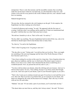unimportant. There is only that moment, and the incredible certainty that everything under the sun has been written by one hand only. It is the hand that evokes love, and creates a twin soul for every person in the world. Without such love, one's dreams would have no meaning.

Maktub thought the boy.

The next day, the boy returned to the well, hoping to see the girl. To his surprise, the Englishman was there, looking out at the desert.

"I waited all afternoon and evening," he said. "He appeared with the first stars of evening. I told him what I was seeking, and he asked me if I had ever transformed lead into gold. I told him that was what I had come here to learn.

"He told me I should try to do so. That's all he said: 'Go and try,'"

The boy didn't say anything. The poor Englishman had traveled all this way, only to be told that he should repeat what he had already done so many times.

"So, then try," he said to the Englishman.

"That's what I'm going to do. I'm going to start now."

"The day after we met," Fatima said, "you told me that you loved me. Then, you taught me something of the universal language and the Soul of the World, Because of that, I have become a part of you..."

"I have been waiting for you here at this oasis for a long time. I have forgotten about my past, about my traditions, and the way in which men of the desert expect women to behave. Ever since I was a child, I have dreamed that the desert would bring me a wonderful present. Now, my present has arrived, and it's you..."

"You have told me about your dreams, about the old king and your treasure. And you've told me about omens. So now, I fear nothing, because it was those omens that brought you to me. And I am a part of your dream, a part of your Personal Legend, as you call it.

"That's why I want you to continue toward your goal. If you have to wait until the war is over, then wait. But if you have to go before then, go on in pursuit of your dream. The dunes are changed by the wind, but the desert never changes. That's the way it will be with our love for each other.

"Maktub," she said. "If I am really a part of your dream, you'll come back one day."

"The desert takes our men from us, and they don't always return," she said." We know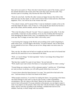that, and we are used to it. Those who don't return become a part of the clouds, a part of the animals that hide in the ravines and of the water that comes from the earth. They become a part of everything...they become the Soul of the World.

"Some do come back. And then the other women are happy because they believe that their men may one day return, as well I used to look at those women and envy them their happiness. Now, I too will be one of the women who wait.

"I'm a desert woman, and I'm proud of that. I want my husband to wander as free as the wind that shapes the dunes. And, if I have to, I will accept the fact that he has become a part of the clouds, and the animals, and the water of the desert."

"This is the first phase of the job," he said. "I have to separate out the sulfur. To do that successfully, I must have no fear of failure. It was my fear of failure that first kept me from attempting the Master Work. Now, I'm beginning what I could have started ten years ago. But I'm happy at least that I didn't wait twenty years."

"I am learning the Language of the World, and everything in the world is beginning to make sense to me...even the flight of the hawks," he said to himself. And, in that mood, he was grateful to be in love. When you are in love, things make even more sense, he thought.

Then, one day, the oldest seer he had ever sought out (and the one most to be feared) had asked why the camel driver was so interested in the future.

"Well...so I can do things," he had responded, "And so I can change those things that I don't want to happen,"

"But then they wouldn't be a part of your future," the seer had said. "Well, maybe I just want to know the future so I can prepare myself for what's coming."

"If good things are coming, they will be a pleasant surprise," said the seer. "If bad things are, and you know in advance, you will suffer greatly before they even occur."

"I want to know about the future because I'm a man," the camel driver had said to the seer. "And men always live their lives based on the future,"

"When people consult me, it's not that I'm reading the future; I am guessing at the future. The future belongs to God, and it is only he who reveals it, under extraordinary circumstances. How do I guess at the future? Based on the omens of the present. The secret is here in the present. If you pay attention to the present, you can improve upon it. And, if you improve on the present, what comes later will also be better. Forget about the future, and live each day according to the teachings, confident that God loves his children. Each day, in itself, brings with it an eternity.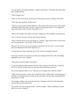"Go and speak to the tribal chieftains," said the camel driver. "Tell them about the armies that are approaching,"

"They'll laugh at me."

"They are men of the desert, and the men of the desert are used to dealing with omens."

"Well, then, they probably already know."

"They're not concerned with that right now. They believe that if they have to know about something Allah wants them to know, someone will tell them about it, It has happened many times before. But, this time, the person is you."

"Who is this stranger who speaks of omens?" asked one of the chieftains, eyeing the boy.

"It is I," the boy answered. And he told what he had seen.

"Why would the desert reveal such things to a stranger, when it knows that we have been here for generations?" said another of the chieftains.

"Because my eyes are not yet accustomed to the desert," the boy said. "I can see things that eyes habituated to the desert might not see."

And also because I know about the Soul of the World, he thought to himself.

Every day was there to be lived or to mark one's departure from this world, Everything depended on one word: "Maktub."

"Why did you read the flight of the birds?"

"I read only what the birds wanted to tell me. They wanted to save the oasis. Tomorrow all of you will die, because there are more men at the oasis than you have."

The sword remained where it was, "Who are you to change what Allah has willed?"

"Allah created the armies, and he also created the hawks. Allah taught me the language of the birds. Everything has been written by the same hand," the boy said, remembering the camel driver's words.

The stranger withdrew the sword from the boy's forehead, and the boy felt immensely relieved, But he still couldn't flee.

"Be careful with your prognostications," said the stranger. "When something is written, there is no way to change it."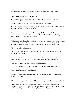"All I saw was an army," said the boy. "I didn't see the outcome of the battle."

"What is a stranger doing in a strange land?"

"I am following my Personal Legend. It's not something you would understand."

The stranger placed his sword in its scabbard, and the boy relaxed.

"I had to test your courage," the stranger said. "Courage is the quality most essential to understanding the Language of the World."

"You must not let up, even after having come so far," he continued. "You must love the desert, but never trust it completely. Because the desert tests all men: it challenges every step, and kills those who become distracted."

"When a person really desires something, all the universe conspires to help that person to realize his dream," said the alchemist, echoing the words of the old king. The boy understood. Another person was there to help him toward his Personal Legend.

"So you are going to instruct me?"

"No. You already know all you need to know. I am only going to point you in the direction of your treasure."

"I have already found my treasure. I have a camel. I have my money from the crystal shop, and I have fifty gold pieces. In my own country. I would be a rich man."

"But none of that is from the Pyramids," said the alchemist.

"I also have Fatima. She is a treasure greater than anything else I have won."

"She wasn't found at the Pyramids, either."

"It's not what enters men's mouths that's evil," said the alchemist, "It's what comes out of their mouths that is."

"Drink and enjoy yourself," said the alchemist, noticing that the boy was feeling happier.

"Rest well tonight, as if you were a warrior preparing for combat. Remember that wherever your heart is, there you will find your treasure. You've got to find the treasure, so that everything you have learned along the way can make sense."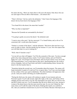He said to the boy, "Show me where there is life out in the desert. Only those who can see such signs of life are able to find treasure…Life attracts life."

"There's life here," the boy said to the alchemist. "I don't know the language of the desert, but my horse knows the language of life."

"You found life in the desert, the omen that I needed."

"Why was that so important?"

"Because the Pyramids are surrounded by the desert."

"I'm going to guide you across the desert," the alchemist said.

"I want to stay at the oasis," the boy answered. "I've found Fatima, and, as far as I'm concerned, she's worth more than treasure."

"Fatima is a woman of the desert," said the alchemist. "She knows that men have to go away in order to return. And she already has her treasure: it's you. Now she expects that you will find what it is you're looking for."

"Well, what if I decide to stay?"

"Let me tell you what will happen. You'll be the counselor of the oasis. You have enough gold to buy many sheep and many camels. You'll marry Fatima, and you'll both be happy for a year. You'll learn to love the desert, and you'll get to know every one of the fifty thousand palms. You'll watch them as they grow, demonstrating how the world is always changing. And you'll get better and better at understanding omens, because the desert is the best teacher there is.

"Sometime during the second year, you'll remember about the treasure. The omens will begin insistently to speak of it, and you'll try to ignore them. You'll use your knowledge for the welfare of the oasis and its inhabitants. The tribal chieftains will appreciate what you do. And your camels will bring you wealth and power.

"During the third year, the omens will continue to speak of your treasure and your Personal Legend. You'll walk around, night after night, at the oasis, and Fatima will be unhappy because she'll feel it was she who interrupted your quest. But you will love her, and she'll return your love. You'll remember that she never asked you to stay, because a woman of the desert knows that she must await her man. So you won't blame her. But many times you'll walk the sands of the desert, thinking that maybe you could have left...that you could have trusted more in your love for Fatima. Because what kept you at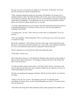the oasis was your own fear that you might never come back. At that point, the omens will tell you that your treasure is buried forever.

"Then, sometime during the fourth year, the omens will abandon you, because you've stopped listening to them. The tribal chieftains will see that, and you'll be dismissed from your position as counselor. But, by then, you'll be a rich merchant, with many camels and a great deal of merchandise. You'll spend the rest of your days knowing that you didn't pursue your Personal Legend, and that now it's too late.

"You must understand that love never keeps a man from pursuing his Personal Legend. If he abandons that pursuit, it's because it wasn't true love...the love that speaks the Language of the World."

"I'm going away," he said. "And I want you to know that I'm coming back. I love you because..."

"Don't say anything," Fatima interrupted. "One is loved because one is loved. No reason is needed for loving."

But the boy continued, "I had a dream, and I met with a king. I sold crystal and crossed the desert. And, because the tribes declared war, I went to the well, seeking the alchemist. So, I love you because the entire universe conspired to help me find you."

The two embraced. It was the first time either had touched the other.

"I'll be back," the boy said.

Don't think about what you've left behind, the alchemist said to the boy as they began to ride across the sands of the desert. "Everything is written in the Soul of the World, and there it will stay forever."

"If what one finds is made of pure matter, it will never spoil. And one can always come back. If what you had found was only a moment of light, like the explosion of a star, you would find nothing on your return."

The man was speaking the language of alchemy. But the boy knew that he was referring to Fatima.

"There is only one way to learn," the alchemist answered. "It's through action. Everything you need to know you have learned through your journey. You need to learn only one thing more."

"And what went wrong when other alchemists tried to make gold and were unable to do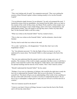so?"

"They were looking only for gold," his companion answered. "They were seeking the treasure of their Personal Legend, without wanting actually to live out the Personal Legend."

"I'm an alchemist simply because I'm an alchemist," he said, as he prepared the meal. "I learned the science from my grandfather, who learned from his father, and so on, back to the creation of the world. In those times, the Master Work could be written simply on an emerald. But men began to reject simple things, and to write tracts, interpretations, and philosophical studies. They also began to feel that they knew a better way than others had. Yet the Emerald Tablet is still alive today."

"What was written on the Emerald Tablet?" the boy wanted to know...

"This is what was written on the Emerald Tablet," said the alchemist, when he had finished.

The boy tried to read what was written in the sand.

"It's a code," said the boy, a bit disappointed. "It looks like what I saw in the Englishman's books."

"No," the alchemist answered. "It's like the flight of those two hawks; it can't be understood by reason alone. The Emerald Tablet is a direct passage to the Soul of the World<sup>"</sup>

"The wise men understood that this natural world is only an image and a copy of paradise. The existence of this world is simply a guarantee that there exists a world that is perfect. God created the world so that, through its visible objects, men could understand his spiritual teachings and the marvels of his wisdom. That's what I mean by action."

"Should I understand the Emerald Tablet?" the boy asked.

"Perhaps, if you were in a laboratory of alchemy, this would be the right time to study the best way to understand the Emerald Tablet. But you are in the desert. So immerse yourself in it. The desert will give you an understanding of the world; in fact, anything on the face of the earth will do that. You don't even have to understand the desert: all you have to do is contemplate a simple grain of sand, and you will see in it all the marvels of creation."

"How do I immerse myself in the desert?"

"Listen to your heart. It knows all things, because it came from the Soul of the World, and it will one day return there."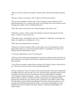"Why do we have to listen to our hearts?" the boy asked, when they had made camp that day.

"Because, wherever your heart is, that is where you'll find your treasure."

"But my heart is agitated," the boy said. "It has its dreams, it gets emotional, and it's become passionate over a woman of the desert. It asks things of me, and it keeps me from sleeping many nights, when I'm thinking about her."

"Well, that's good. Your heart is alive. Keep listening to what it has to say."

"My heart is a traitor," the boy said to the alchemist, when they had paused to rest the horses. "It doesn't want me to go on."

"That makes sense," the alchemist answered. "Naturally it's afraid that, in pursuing your dream, you might lose everything you've won,"

"Well, then, why should I listen to my heart?"

"Because you will never again be able to keep it quiet. Even if you pretend not to have heard what it tells you, it will always be there inside you, repeating to you what you're thinking about life and about the world."

"You mean I should listen, even if it's treasonous?"

"Treason is a blow that comes unexpectedly. If you know your heart well, it will never be able to do that to you. Because you'll know its dreams and wishes, and will know how to deal with them.

"You will never be able to escape from your heart. So it's better to listen to what it has to say. That way, you'll never have to fear an unanticipated blow."

The boy continued to listen to his heart as they crossed the desert. He came to understand its dodges and tricks, and to accept it as it was. He lost his fear, and forgot about his need to go back to the oasis, because, one afternoon, his heart told him that it was happy. "Even though I complain sometimes," it said, "it's because I'm the heart of a person, and people's hearts are that way. People are afraid to pursue their most important dreams, because they feel that they don't deserve them, or that they'll be unable to achieve them. We, their hearts, become fearful just thinking of loved ones who go away forever, or of moments that could have been good but weren't, or of treasures that might have been found but were forever hidden in the sands. Because, when these things happen, we suffer terribly."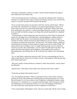"My heart is afraid that it will have to suffer," the boy told the alchemist one night as they looked up at the moonless sky.

"Tell your heart that the fear of suffering is worse than the suffering itself. And that no heart has ever suffered when it goes in search of its dreams, because every second of the search is a second's encounter with God and with eternity."

"Every second of the search is an encounter with God," the boy told his heart. "When I have been truly searching for my treasure, every day has been luminous, because I've known that every hour was a part of the dream that I would find it. When I have been truly searching for my treasure, I've discovered things along the way that I never would have seen had I not had the courage to try things that seemed impossible for a shepherd to achieve."

...his heart began to tell him things that came from the Soul of the World. It said that all people who are happy have God within them. And that happiness could be found in a grain of sand from the desert, as the alchemist had said. Because a grain of sand is a moment of creation, and the universe has taken millions of years to create it. "Everyone on earth has a treasure that awaits him," his heart said. "We, people's hearts, seldom say much about those treasures, because people no longer want to go in search of them. We speak of them only to children. Later, we simply let life proceed, in its own direction, toward its own fate. But, unfortunately, very few follow the path laid out for them—the path to their Personal Legends, and to happiness. Most people see the world as a threatening place, and, because they do, the world turns out, indeed, to be a threatening place.

"So, we, their hearts, speak more and more softly. We never stop speaking out, but we begin to hope that our words won't be heard: we don't want people to suffer because they don't follow their hearts."

"Why don't people's hearts tell them to continue to follow their dreams?" the boy asked the alchemist.

"Because that's what makes a heart suffer most, and hearts don't like to suffer."

"Is that the one thing I still needed to know?"

"No," the alchemist answered. "What you still need to know is this: before a dream is realized, the Soul of the World tests everything that was learned along the way. It does this not because it is evil, but so that we can, in addition to realizing our dreams, master the lessons we've learned as we've moved toward that dream. That's the point at which most people give up. It's the point at which, as we say in the language of the desert, one 'dies of thirst just when the palm trees have appeared on the horizon."

"Every search begins with beginner's luck. And every search ends with the victor's being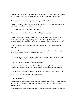severely tested."

"To show you one of life's simple lessons," the alchemist answered. "When you possess great treasures within you, and try to tell others of them, seldom are you believed."

"Does a man's heart always help him?" the boy asked the alchemist.

"Mostly just the hearts of those who are trying to realize their Personal Legends. But they do help children, drunkards, and the elderly, too."

"Does that mean that I'll never run into danger?"

"It means only that the heart does what it can," the alchemist said.

The alchemist sounded angry: "Trust in your heart, but never forget that you're in the desert. When men are at war with one another, the Soul of the World can hear the screams of battle. No one fails to suffer the consequences of everything under the sun."

"If we're going to go our separate ways soon," the boy said, "then teach me about alchemy."

"You already know about alchemy. It is about penetrating to the Soul of the World, and discovering the treasure that has been reserved for you."

"Don't give in to your fears," said the alchemist, in a strangely gentle voice. "If you do, you won't be able to talk to your heart."

"But I have no idea how to turn myself into the wind."

"If a person is living out his Personal Legend, he knows everything he needs to know. There is only one thing that makes a dream impossible to achieve; the fear of failure."

"I'm not afraid of failing. It's just that I don't know how to turn myself into the wind."

"Well, you'll have to learn; your life depends on it."

"But what if I can't?"

"Then you'll die in the midst of trying to realize your Personal Legend. That's a lot better than dying like millions of other people, who never even knew what their Personal Legends were.

"But don't worry," the alchemist continued. "Usually the threat of death makes people a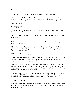lot more aware of their lives."

"I still have no idea how to turn myself into the wind," the boy repeated.

"Remember what I told you: the world is only the visible aspect of God. And that what alchemy does is to bring spiritual perfection into contact with the material plane."

"What are you doing?"

"Feeding my falcon."

"If I'm not able to turn myself into the wind, we're going to die," the boy said. "Why feed your falcon?"

"You're the one who may die," the alchemist said. "I already know how to turn myself into the wind."

"What do you want here today?" the desert asked him. "Didn't you spend enough time looking at me yesterday?"

"Somewhere you are holding the person I love," the boy said. "So, when I look out over your sands, I am also looking at her. I want to return to her, and I need your help so that I can turn myself into the wind."

"What is love?" the desert asked.

"Love is the falcon's flight over your sands. Because for him, you are a green field, from which he always returns with game. He knows your rocks, your dunes, and your mountains, and you are generous to him."

"The falcon's beak carries bits of me, myself," the desert said. "For years, I care for his game, feeding it with the little water that I have, and then I show him where the game is. And, one day, as I enjoy the fact that his game thrives on my surface, the falcon dives out of the sky, and takes away what I've created."

"But that's why you created the game in the first place," the boy answered. "To nourish the falcon. And the falcon then nourishes man. And, eventually, man will nourish your sands, where the game will once again flourish. That's how the world goes."

"So is that what love is?"

"Yes, that's what love is. It's what makes the game become the falcon, the falcon become man, and man, in his turn, the desert. It's what turns lead into gold, and makes the gold return to the earth."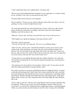"I don't understand what you're talking about," the desert said.

"But you can at least understand that somewhere in your sands there is a woman waiting for me. And that's why I have to turn myself into the wind."

The desert didn't answer him for a few moments.

Then it told him, "I'll give you my sands to help the wind to blow, but, alone, I can't do anything. You have to ask for help from the wind."

The wind approached the boy and touched his face. It knew of the boy's talk with the desert, because the winds know everything. They blow across the world without a birthplace, and with no place to die.

"Help me," the boy said. "One day you carried the voice of my loved one to me."

"Who taught you to speak the language of the desert and the wind?"

"My heart," the boy answered. "You can't be the wind," the wind said. "We're two very different things."

"That's not true," the boy said. "I learned the alchemist's secrets in my travels. I have inside me the winds, the deserts, the oceans, the stars, and everything created in the universe. We were all made by the same hand, and we have the same soul. I want to be like you, able to reach every corner of the world, cross the seas, blow away the sands that cover my treasure, and carry the voice of the woman I love."

"I heard what you were talking about the other day with the alchemist," the wind said. "He said that everything has its own Personal Legend. But people can't turn themselves into the wind."

"Just teach me to be the wind for a few moments," the boy said. "So you and I can talk about the limitless possibilities of people and the winds."

The wind's curiosity was aroused, something that had never happened before. It wanted to talk about those things, but it didn't know how to turn a man into the wind. And look how many things the wind already knew how to do! It created deserts, sank ships, felled entire forests, and blew through cities filled with music and strange noises. It felt that it had no limits, yet here was a boy saying that there were other things the wind should be able to do.

"This is what we call love," the boy said, seeing that the wind was close to granting what he requested. "When you are loved, you can do anything in creation. When you are loved, there's no need at all to understand what's happening, because everything happens within you, and even men can turn themselves into the wind. As long as the wind helps,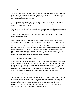of course."

The wind was a proud being, and it was becoming irritated with what the boy was saying. It commenced to blow harder, raising the desert sands. But finally it had to recognize that, even making its way around the world, it didn't know how to turn a man into the wind. And it knew nothing about love."

"In my travels around the world, I've often seen people speaking of love and looking toward the heavens," the wind said, furious at having to acknowledge its own limitations. "Maybe it's better to ask heaven,"

"Well then, help me do that," the boy said. "Fill this place with a sandstorm so strong that it blots out the sun. Then I can look to heaven without blinding myself."

So the wind blew with all its strength, and the sky was filled with sand. The sun was turned into a golden disk.

"The wind told me that you know about love," the boy said to the sun. "If you know about love, you must also know about the Soul of the World, because it's made of love."

"From where I am," the sun said. "I can see the Soul of the World. It communicates with my soul, and together we cause the plants to grow and the sheep to seek out shade. From where I am—and I'm a long way from the earth—I learned how to love. I know that if I came even a little bit closer to the earth, everything there would die, and the Soul of the World would no longer exist. So we contemplate each other, and we want each other, and I give it life and warmth, and it gives me my reason for living."

"So you know about love," the boy said.

"And I know the Soul of the World, because we have talked at great length to each other during this endless trip through the universe. It tells me that its greatest problem is that, up until now, only the minerals and vegetables understand that all things are one. That there's no need for iron to be the same as copper, or copper the same as gold. Each. performs its own exact function as a unique being, and everything would be a symphony of peace if the hand that wrote all this had stopped on the fifth day of creation."

"But there was a sixth day," the sun went on.

"You are wise, because you observe everything from a distance," the boy said. "But you don't know about love. If there hadn't been a sixth day, man would not exist; copper would always be just copper, and lead just lead. It's true that everything has its Personal Legend, but one day that Personal Legend will be realized. So each thing has to transform itself into something better, and to acquire a new Personal Legend, until, someday, the Soul of the World becomes one thing only."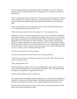The sun thought about that, and decided to shine more brightly. The wind, which was enjoying the conversation, started to blow with greater force, so that the sun would not blind the boy.

"This is why alchemy exists," the boy said. "So that everyone will search for his treasure, find it, and then want to be better than he was in his former life. Lead will play its role until the world has no further need for lead; and then lead will have to turn itself into gold.

"That's what alchemists do. They show that, when we strive to become better than we are, everything around us becomes better, too."

"Well, why did you say that I don't know about love?" the sun asked the boy.

"Because it's not love to be static like the desert, nor is it love to roam the world like the wind. And it's not love to see everything from a distance, like you do. Love is the force that transforms and improves the Soul of the World. When I first reached through to it, I thought the Soul of the World was perfect. But later, I could see that it was like other aspects of creation, and had its own passions and wars. It is we who nourish the Soul of the World, and the world we live in will be either better or worse, depending on whether we become better or worse. And that's where the power of love comes in. Because when we love, we always strive to become better than we are."

"So what do you want of me?" the sun asked.

"I want you to help me turn myself into the wind," the boy answered.

"Nature knows me as the wisest being in creation," the sun said. "But I don't know how to turn you into the wind."

"Then, whom should I ask?"

The sun thought for a minute. The wind was listening closely, and wanted to tell every corner of the world that the sun's wisdom had its limitations. That it was unable to deal with this boy who spoke the Language of the World.

"Speak to the hand that wrote all," said the sun.

The wind screamed with delight, and blew harder than ever. The tents were being blown from their ties to the earth, and the animals were being freed from their tethers. On the cliff, the men clutched at each other as they sought to keep from being blown away,

The boy turned to the hand that wrote all. As he did so, he sensed that the universe had fallen silent, and he decided not to speak.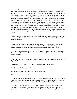A current of love rushed from his heart, and the boy began to pray. It was a prayer that he had never said before, because it was a prayer without words or pleas. His prayer didn't give thanks for his sheep having found new pastures; it didn't ask that the boy be able to sell more crystal; and it didn't beseech that the woman he had met continue to await his return. In the silence, the boy understood that the desert, the wind, and the sun were also trying to understand the signs written by the hand, and were seeking to follow their paths, and to understand what had been written on a single emerald. He saw that omens were scattered throughout the earth and in space, and that there was no reason or significance attached to their appearance; he could see that not the deserts, nor the winds, nor the sun, nor people knew why they had been created. But that the hand had a reason for all of this, and that only the hand could perform miracles, or transform the sea into a desert...or a man into the wind. Because only the hand understood that it was a larger design that had moved the universe to the point at which six days of creation had evolved into a Master Work.

The boy reached through to the Soul of the World, and saw that it was a part of the Soul of God. And he saw that the Soul of God was his own soul. And that he, a boy, could perform miracles.

The simum blew that day as it had never blown before. For generations thereafter, the Arabs recounted the legend of a boy who had turned himself into the wind, almost destroying a military camp, in defiance of the most powerful chief in the desert.

When the simum ceased to blow, everyone looked to the place where the boy had been. But he was no longer there; he was standing next to a sand-covered sentinel, on the far side of the camp.

"From here on, you will be alone," the alchemist said. "You are only three hours from the Pyramids."

"Thank you," said the boy. "You taught me the Language of the World."

"I only invoked what you already knew."

I want to tell you a story about dreams, said the alchemist.

The boy brought his horse closer.

"In ancient Rome, at the time of Emperor Tiberius, there lived a good man who had two sons. One was in the military, and had been sent to the most distant regions of the empire. The other son was a poet, and delighted all of Rome with his beautiful verses.

"One night, the father had a dream. An angel appeared to him, and told him that the words of one of his sons would be learned and repeated throughout the world for all generations to come. The father woke from his dream grateful and crying, because life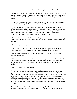was generous, and had revealed to him something any father would be proud to know.

"Shortly thereafter, the father died as he tried to save a child who was about to be crushed by the wheels of a chariot. Since he had lived his entire life in a manner that was correct and fair, he went directly to heaven, where he met the angel that had appeared in his dream.

"You were always a good man,' the angel said to him. 'You lived your life in a loving way, and died with dignity, I can now grant you any wish you desire.'

"'Life was good to me,' the man said. 'When you appeared in my dream, I felt that all my efforts had been rewarded, because my son's poems will be read by men for generations to come. I don't want anything for myself. But any father would be proud of the fame achieved by one whom he had cared for as a child, and educated as he grew up. Sometime in the distant future, I would like to see my son's words.'

"The angel touched the man's shoulder, and they were both projected far into the future, They were in an immense setting, surrounded by thousands of people speaking a strange language.

"The man wept with happiness.

"'I knew that my son's poems were immortal,' he said to the angel through his tears. 'Can you please tell me which of my son's poems these people are repeating?'

"The angel came closer to the man, and, with tenderness, led him to a bench nearby, where they sat down.

"'The verses of your son who was the poet were very popular in Rome,' the angel said, 'Everyone loved them and enjoyed them. But when the reign of Tiberius ended, his poems were forgotten. The words you're hearing now are those of your son in the military.'

"The man looked at the angel in surprise.

"'Your son went to serve at a distant place, and became a centurion. He was just and good. One afternoon, one of his servants fell ill, and it appeared that he would die. Your son had heard of a rabbi who was able to cure illnesses, and he rode out for days and days in search of this man. Along the way, he learned that the man he was seeking was the Son of God. He met others who had been cured by him, and they instructed your son in the man's teachings. And so, despite the fact that he was a Roman centurion, he converted to their faith. Shortly thereafter, he reached the place where the man he was looking for was visiting.'

"'He told the man that one of his servants was gravely ill, and the rabbi made ready to go to his house with him. But the centurion was a man of faith, and, looking into the eyes of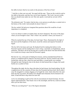the rabbi, he knew that he was surely in the presence of the Son of God.'

"'And this is what your son said,' the angel told the man. 'These are the words he said to the rabbi at that point, and they have never been forgotten: "My Lord, I am not worthy that you should come under my roof. But only speak a word and my servant will be healed."'

The alchemist said, "No matter what he does, every person on earth plays a central role in the history of the world. And normally he doesn't know it."

The boy smiled. He had never imagined that questions about life would be of such importance to a shepherd.

As he was about to climb yet another dune, his heart whispered, "Be aware of the place where you are brought to tears. That's where I am, and that's where your treasure is."

When he reached the top of the dune, his heart leapt. There, illuminated by the light of the moon and the brightness of the desert, stood the solemn and majestic Pyramids of Egypt.

The boy fell to his knees and wept. He thanked God for making him believe in his Personal Legend, and for leading him to meet a king, a merchant, an Englishman, and an alchemist. And above all for his having met a woman of the desert who had told him that love would never keep a man from his Personal Legend.

But here he was, at the point of finding his treasure, and he reminded himself that no project is completed until its objective has been achieved. The boy looked at the sands around him, and saw that, where his tears had fallen, a scarab beetle was scuttling through the sand. During his time in the desert, he had learned that, in Egypt, the scarab beetles are a symbol of God.

Throughout the night, the boy dug at the place he had chosen, but found nothing. He felt weighted down by the centuries of time since the Pyramids had been built. But he didn't stop. He struggled to continue digging as he fought the wind, which often blew the sand back into the excavation. His hands were abraded and exhausted, but he listened to his heart. It had told him to dig where his tears fell.

As he was attempting to pull out the rocks he encountered, he heard footsteps. Several figures approached him. Their backs were to the moonlight, and the boy could see neither their eyes nor their faces.

"What are you doing here?" one of the figures demanded.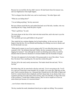Because he was terrified, the boy didn't answer. He had found where his treasure was, and was frightened at what might happen.

"We're refugees from the tribal wars, and we need money," the other figure said.

"What are you hiding there?"

"I'm not hiding anything," the boy answered.

But one of them seized the boy and yanked him back out of the hole, Another, who was searching the boy's bags, found the piece of gold.

"There's gold here," he said.

The moon shone on the face of the Arab who had seized him, and in the man's eyes the boy saw death.

"He's probably got more gold hidden in the ground."

They made the boy continue digging, but he found nothing. As the sun rose, the men began to beat the boy. He was bruised and bleeding, his clothing was torn to shreds, and he felt that death was near.

"What good is money to you if you're going to die? It's not often that money can save someone's life," the alchemist had said. Finally, the boy screamed at the men, "I'm digging for treasure!" And, although his mouth was bleeding and swollen, he told his attackers that he had twice dreamed of a treasure hidden near the Pyramids of Egypt.

The man who appeared to be the leader of the group spoke to one of the others: "Leave him. He doesn't have anything else. He must have stolen this gold."

The boy fell to the sand, nearly unconscious. The leader shook him and said, "We're leaving."

But before they left, he came back to the boy and said, "You're not going to die. You'll live, and you'll learn that a man shouldn't be so stupid. Two years ago, right here on this spot, I had a recurrent dream, too. I dreamed that I should travel to the fields of Spain and look for a ruined church where shepherds and their sheep slept. In my dream, there was a sycamore growing out of the ruins of the sacristy, and I was told that, if I dug at the roots of the sycamore, I would find a hidden treasure. But I'm not so stupid as to cross an entire desert just because of a recurrent dream."

...now he knew where his treasure was.

The boy reached the small, abandoned church just as night was falling. The sycamore